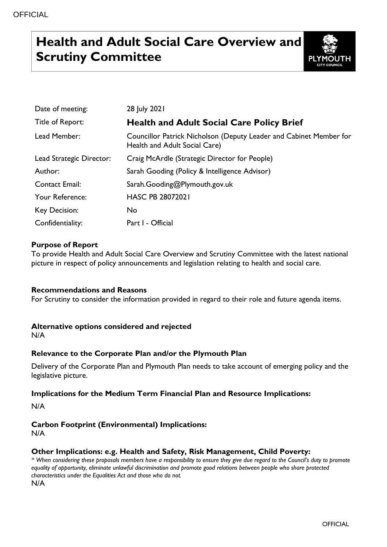# **Health and Adult Social Care Overview and Scrutiny Committee**



| Date of meeting:         | 28 July 2021                                                                                        |
|--------------------------|-----------------------------------------------------------------------------------------------------|
| Title of Report:         | <b>Health and Adult Social Care Policy Brief</b>                                                    |
| Lead Member:             | Councillor Patrick Nicholson (Deputy Leader and Cabinet Member for<br>Health and Adult Social Care) |
| Lead Strategic Director: | Craig McArdle (Strategic Director for People)                                                       |
| Author:                  | Sarah Gooding (Policy & Intelligence Advisor)                                                       |
| <b>Contact Email:</b>    | Sarah.Gooding@Plymouth.gov.uk                                                                       |
| Your Reference:          | <b>HASC PB 28072021</b>                                                                             |
| Key Decision:            | <b>No</b>                                                                                           |
| Confidentiality:         | Part I - Official                                                                                   |

# **Purpose of Report**

To provide Health and Adult Social Care Overview and Scrutiny Committee with the latest national picture in respect of policy announcements and legislation relating to health and social care.

### **Recommendations and Reasons**

For Scrutiny to consider the information provided in regard to their role and future agenda items.

### **Alternative options considered and rejected**

N/A

# **Relevance to the Corporate Plan and/or the Plymouth Plan**

Delivery of the Corporate Plan and Plymouth Plan needs to take account of emerging policy and the legislative picture.

### **Implications for the Medium Term Financial Plan and Resource Implications:**

N/A

# **Carbon Footprint (Environmental) Implications:**

N/A

# **Other Implications: e.g. Health and Safety, Risk Management, Child Poverty:**

*\* When considering these proposals members have a responsibility to ensure they give due regard to the Council's duty to promote equality of opportunity, eliminate unlawful discrimination and promote good relations between people who share protected characteristics under the Equalities Act and those who do not.* N/A